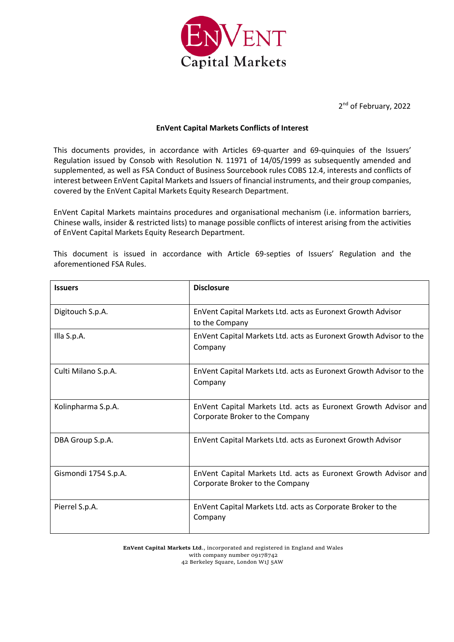

2<sup>nd</sup> of February, 2022

## **EnVent Capital Markets Conflicts of Interest**

This documents provides, in accordance with Articles 69-quarter and 69-quinquies of the Issuers' Regulation issued by Consob with Resolution N. 11971 of 14/05/1999 as subsequently amended and supplemented, as well as FSA Conduct of Business Sourcebook rules COBS 12.4, interests and conflicts of interest between EnVent Capital Markets and Issuers of financial instruments, and their group companies, covered by the EnVent Capital Markets Equity Research Department.

EnVent Capital Markets maintains procedures and organisational mechanism (i.e. information barriers, Chinese walls, insider & restricted lists) to manage possible conflicts of interest arising from the activities of EnVent Capital Markets Equity Research Department.

| <b>Issuers</b>       | <b>Disclosure</b>                                                                                  |
|----------------------|----------------------------------------------------------------------------------------------------|
| Digitouch S.p.A.     | EnVent Capital Markets Ltd. acts as Euronext Growth Advisor<br>to the Company                      |
| Illa S.p.A.          | EnVent Capital Markets Ltd. acts as Euronext Growth Advisor to the<br>Company                      |
| Culti Milano S.p.A.  | EnVent Capital Markets Ltd. acts as Euronext Growth Advisor to the<br>Company                      |
| Kolinpharma S.p.A.   | EnVent Capital Markets Ltd. acts as Euronext Growth Advisor and<br>Corporate Broker to the Company |
| DBA Group S.p.A.     | EnVent Capital Markets Ltd. acts as Euronext Growth Advisor                                        |
| Gismondi 1754 S.p.A. | EnVent Capital Markets Ltd. acts as Euronext Growth Advisor and<br>Corporate Broker to the Company |
| Pierrel S.p.A.       | EnVent Capital Markets Ltd. acts as Corporate Broker to the<br>Company                             |

This document is issued in accordance with Article 69-septies of Issuers' Regulation and the aforementioned FSA Rules.

> **EnVent Capital Markets Ltd**., incorporated and registered in England and Wales with company number 09178742 42 Berkeley Square, London W1J 5AW